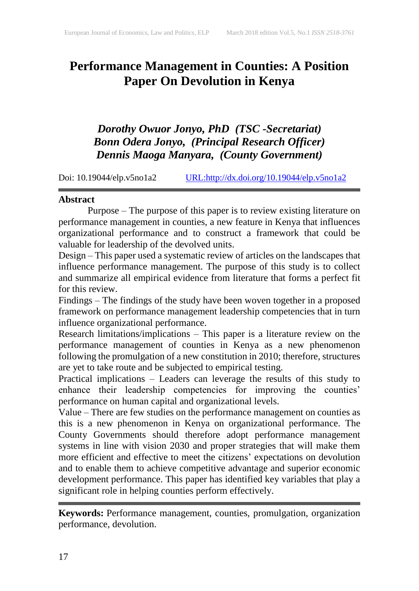# **Performance Management in Counties: A Position Paper On Devolution in Kenya**

*Dorothy Owuor Jonyo, PhD (TSC -Secretariat) Bonn Odera Jonyo, (Principal Research Officer) Dennis Maoga Manyara, (County Government)*

Doi: 10.19044/elp.v5no1a2 [URL:http://dx.doi.org/10.19044/elp.v5no1a2](http://dx.doi.org/10.19044/elp.v5no1a2)

## **Abstract**

Purpose – The purpose of this paper is to review existing literature on performance management in counties, a new feature in Kenya that influences organizational performance and to construct a framework that could be valuable for leadership of the devolved units.

Design – This paper used a systematic review of articles on the landscapes that influence performance management. The purpose of this study is to collect and summarize all empirical evidence from literature that forms a perfect fit for this review.

Findings – The findings of the study have been woven together in a proposed framework on performance management leadership competencies that in turn influence organizational performance.

Research limitations/implications – This paper is a literature review on the performance management of counties in Kenya as a new phenomenon following the promulgation of a new constitution in 2010; therefore, structures are yet to take route and be subjected to empirical testing.

Practical implications – Leaders can leverage the results of this study to enhance their leadership competencies for improving the counties' performance on human capital and organizational levels.

Value – There are few studies on the performance management on counties as this is a new phenomenon in Kenya on organizational performance. The County Governments should therefore adopt performance management systems in line with vision 2030 and proper strategies that will make them more efficient and effective to meet the citizens' expectations on devolution and to enable them to achieve competitive advantage and superior economic development performance. This paper has identified key variables that play a significant role in helping counties perform effectively.

**Keywords:** Performance management, counties, promulgation, organization performance, devolution.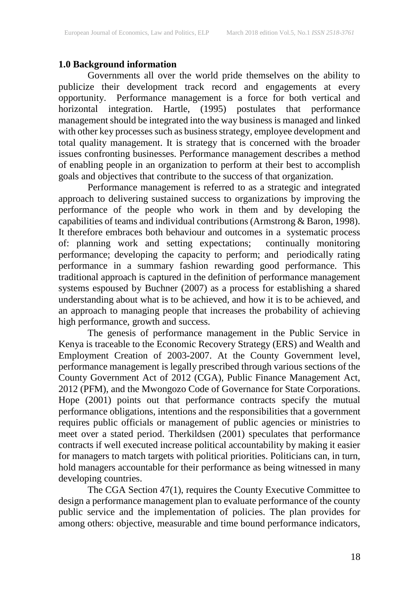# **1.0 Background information**

Governments all over the world pride themselves on the ability to publicize their development track record and engagements at every opportunity. Performance management is a force for both vertical and horizontal integration. Hartle, (1995) postulates that performance management should be integrated into the way business is managed and linked with other key processes such as business strategy, employee development and total quality management. It is strategy that is concerned with the broader issues confronting businesses. Performance management describes a method of enabling people in an organization to perform at their best to accomplish goals and objectives that contribute to the success of that organization.

Performance management is referred to as a strategic and integrated approach to delivering sustained success to organizations by improving the performance of the people who work in them and by developing the capabilities of teams and individual contributions (Armstrong  $\&$  Baron, 1998). It therefore embraces both behaviour and outcomes in a systematic process of: planning work and setting expectations; continually monitoring performance; developing the capacity to perform; and periodically rating performance in a summary fashion rewarding good performance. This traditional approach is captured in the definition of performance management systems espoused by Buchner (2007) as a process for establishing a shared understanding about what is to be achieved, and how it is to be achieved, and an approach to managing people that increases the probability of achieving high performance, growth and success.

The genesis of performance management in the Public Service in Kenya is traceable to the Economic Recovery Strategy (ERS) and Wealth and Employment Creation of 2003-2007. At the County Government level, performance management is legally prescribed through various sections of the County Government Act of 2012 (CGA), Public Finance Management Act, 2012 (PFM), and the Mwongozo Code of Governance for State Corporations. Hope (2001) points out that performance contracts specify the mutual performance obligations, intentions and the responsibilities that a government requires public officials or management of public agencies or ministries to meet over a stated period. Therkildsen (2001) speculates that performance contracts if well executed increase political accountability by making it easier for managers to match targets with political priorities. Politicians can, in turn, hold managers accountable for their performance as being witnessed in many developing countries.

The CGA Section 47(1), requires the County Executive Committee to design a performance management plan to evaluate performance of the county public service and the implementation of policies. The plan provides for among others: objective, measurable and time bound performance indicators,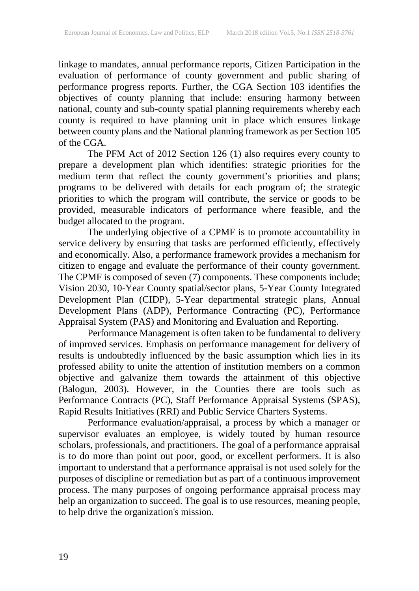linkage to mandates, annual performance reports, Citizen Participation in the evaluation of performance of county government and public sharing of performance progress reports. Further, the CGA Section 103 identifies the objectives of county planning that include: ensuring harmony between national, county and sub-county spatial planning requirements whereby each county is required to have planning unit in place which ensures linkage between county plans and the National planning framework as per Section 105 of the CGA.

The PFM Act of 2012 Section 126 (1) also requires every county to prepare a development plan which identifies: strategic priorities for the medium term that reflect the county government's priorities and plans; programs to be delivered with details for each program of; the strategic priorities to which the program will contribute, the service or goods to be provided, measurable indicators of performance where feasible, and the budget allocated to the program.

The underlying objective of a CPMF is to promote accountability in service delivery by ensuring that tasks are performed efficiently, effectively and economically. Also, a performance framework provides a mechanism for citizen to engage and evaluate the performance of their county government. The CPMF is composed of seven (7) components. These components include; Vision 2030, 10-Year County spatial/sector plans, 5-Year County Integrated Development Plan (CIDP), 5-Year departmental strategic plans, Annual Development Plans (ADP), Performance Contracting (PC), Performance Appraisal System (PAS) and Monitoring and Evaluation and Reporting.

Performance Management is often taken to be fundamental to delivery of improved services. Emphasis on performance management for delivery of results is undoubtedly influenced by the basic assumption which lies in its professed ability to unite the attention of institution members on a common objective and galvanize them towards the attainment of this objective (Balogun, 2003). However, in the Counties there are tools such as Performance Contracts (PC), Staff Performance Appraisal Systems (SPAS), Rapid Results Initiatives (RRI) and Public Service Charters Systems.

Performance evaluation/appraisal, a process by which a manager or supervisor evaluates an employee, is widely touted by human resource scholars, professionals, and practitioners. The goal of a performance appraisal is to do more than point out poor, good, or excellent performers. It is also important to understand that a performance appraisal is not used solely for the purposes of discipline or remediation but as part of a continuous improvement process. The many purposes of ongoing performance appraisal process may help an organization to succeed. The goal is to use resources, meaning people, to help drive the organization's mission.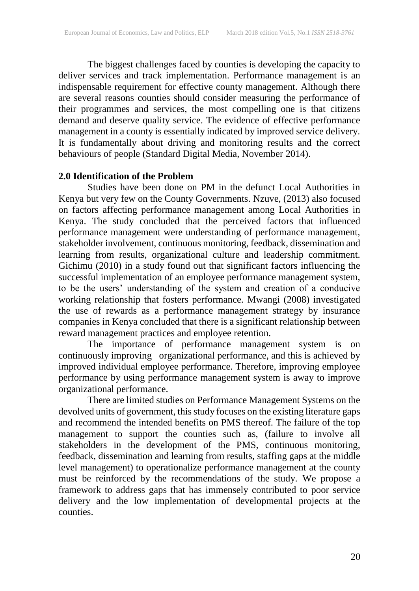The biggest challenges faced by counties is developing the capacity to deliver services and track implementation. Performance management is an indispensable requirement for effective county management. Although there are several reasons counties should consider measuring the performance of their programmes and services, the most compelling one is that citizens demand and deserve quality service. The evidence of effective performance management in a county is essentially indicated by improved service delivery. It is fundamentally about driving and monitoring results and the correct behaviours of people (Standard Digital Media, November 2014).

# **2.0 Identification of the Problem**

Studies have been done on PM in the defunct Local Authorities in Kenya but very few on the County Governments. Nzuve, (2013) also focused on factors affecting performance management among Local Authorities in Kenya. The study concluded that the perceived factors that influenced performance management were understanding of performance management, stakeholder involvement, continuous monitoring, feedback, dissemination and learning from results, organizational culture and leadership commitment. Gichimu (2010) in a study found out that significant factors influencing the successful implementation of an employee performance management system, to be the users' understanding of the system and creation of a conducive working relationship that fosters performance. Mwangi (2008) investigated the use of rewards as a performance management strategy by insurance companies in Kenya concluded that there is a significant relationship between reward management practices and employee retention.

The importance of performance management system is on continuously improving organizational performance, and this is achieved by improved individual employee performance. Therefore, improving employee performance by using performance management system is away to improve organizational performance.

There are limited studies on Performance Management Systems on the devolved units of government, this study focuses on the existing literature gaps and recommend the intended benefits on PMS thereof. The failure of the top management to support the counties such as, (failure to involve all stakeholders in the development of the PMS, continuous monitoring, feedback, dissemination and learning from results, staffing gaps at the middle level management) to operationalize performance management at the county must be reinforced by the recommendations of the study. We propose a framework to address gaps that has immensely contributed to poor service delivery and the low implementation of developmental projects at the counties.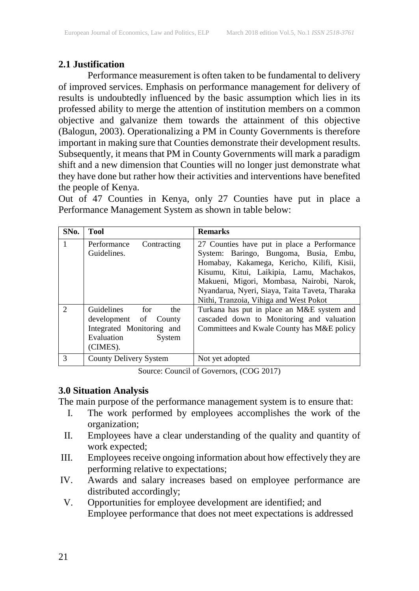# **2.1 Justification**

Performance measurement is often taken to be fundamental to delivery of improved services. Emphasis on performance management for delivery of results is undoubtedly influenced by the basic assumption which lies in its professed ability to merge the attention of institution members on a common objective and galvanize them towards the attainment of this objective (Balogun, 2003). Operationalizing a PM in County Governments is therefore important in making sure that Counties demonstrate their development results. Subsequently, it means that PM in County Governments will mark a paradigm shift and a new dimension that Counties will no longer just demonstrate what they have done but rather how their activities and interventions have benefited the people of Kenya.

Out of 47 Counties in Kenya, only 27 Counties have put in place a Performance Management System as shown in table below:

| SN <sub>0</sub> .           | <b>Tool</b>                                                                                                        | <b>Remarks</b>                                                                                                                                                                                                                                                                                                           |
|-----------------------------|--------------------------------------------------------------------------------------------------------------------|--------------------------------------------------------------------------------------------------------------------------------------------------------------------------------------------------------------------------------------------------------------------------------------------------------------------------|
| $\mathbf{1}$                | Contracting<br>Performance<br>Guidelines.                                                                          | 27 Counties have put in place a Performance<br>System: Baringo, Bungoma, Busia, Embu,<br>Homabay, Kakamega, Kericho, Kilifi, Kisii,<br>Kisumu, Kitui, Laikipia, Lamu, Machakos,<br>Makueni, Migori, Mombasa, Nairobi, Narok,<br>Nyandarua, Nyeri, Siaya, Taita Taveta, Tharaka<br>Nithi, Tranzoia, Vihiga and West Pokot |
| $\mathcal{D}_{\mathcal{L}}$ | Guidelines<br>for<br>the<br>development of County<br>Integrated Monitoring and<br>Evaluation<br>System<br>(CIMES). | Turkana has put in place an M&E system and<br>cascaded down to Monitoring and valuation<br>Committees and Kwale County has M&E policy                                                                                                                                                                                    |
| $\mathcal{R}$               | County Delivery System                                                                                             | Not yet adopted                                                                                                                                                                                                                                                                                                          |

Source: Council of Governors, (COG 2017)

# **3.0 Situation Analysis**

The main purpose of the performance management system is to ensure that:

- I. The work performed by employees accomplishes the work of the organization;
- II. Employees have a clear understanding of the quality and quantity of work expected;
- III. Employees receive ongoing information about how effectively they are performing relative to expectations;
- IV. Awards and salary increases based on employee performance are distributed accordingly;
- V. Opportunities for employee development are identified; and Employee performance that does not meet expectations is addressed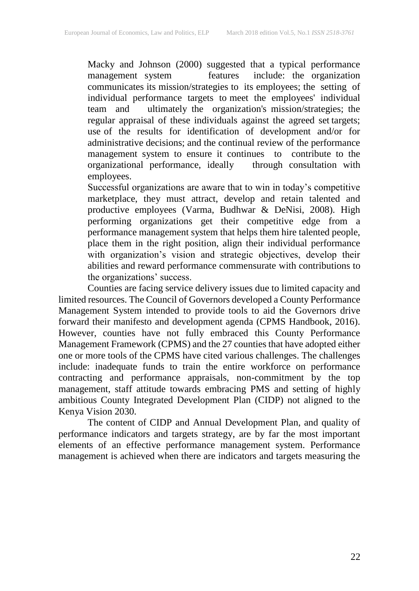Macky and Johnson (2000) suggested that a typical performance include: the organization communicates its mission/strategies to its employees; the setting of individual performance targets to meet the employees' individual team and ultimately the organization's mission/strategies; the regular appraisal of these individuals against the agreed set targets; use of the results for identification of development and/or for administrative decisions; and the continual review of the performance management system to ensure it continues to contribute to the organizational performance, ideally through consultation with employees.

Successful organizations are aware that to win in today's competitive marketplace, they must attract, develop and retain talented and productive employees (Varma, Budhwar & DeNisi, 2008). High performing organizations get their competitive edge from a performance management system that helps them hire talented people, place them in the right position, align their individual performance with organization's vision and strategic objectives, develop their abilities and reward performance commensurate with contributions to the organizations' success.

Counties are facing service delivery issues due to limited capacity and limited resources. The Council of Governors developed a County Performance Management System intended to provide tools to aid the Governors drive forward their manifesto and development agenda (CPMS Handbook, 2016). However, counties have not fully embraced this County Performance Management Framework (CPMS) and the 27 counties that have adopted either one or more tools of the CPMS have cited various challenges. The challenges include: inadequate funds to train the entire workforce on performance contracting and performance appraisals, non-commitment by the top management, staff attitude towards embracing PMS and setting of highly ambitious County Integrated Development Plan (CIDP) not aligned to the Kenya Vision 2030.

The content of CIDP and Annual Development Plan, and quality of performance indicators and targets strategy, are by far the most important elements of an effective performance management system. Performance management is achieved when there are indicators and targets measuring the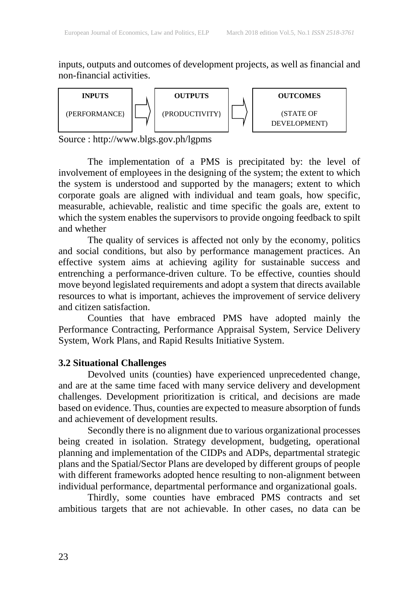inputs, outputs and outcomes of development projects, as well as financial and non-financial activities.



Source : http://www.blgs.gov.ph/lgpms

The implementation of a PMS is precipitated by: the level of involvement of employees in the designing of the system; the extent to which the system is understood and supported by the managers; extent to which corporate goals are aligned with individual and team goals, how specific, measurable, achievable, realistic and time specific the goals are, extent to which the system enables the supervisors to provide ongoing feedback to spilt and whether

The quality of services is affected not only by the economy, politics and social conditions, but also by performance management practices. An effective system aims at achieving agility for sustainable success and entrenching a performance-driven culture. To be effective, counties should move beyond legislated requirements and adopt a system that directs available resources to what is important, achieves the improvement of service delivery and citizen satisfaction.

Counties that have embraced PMS have adopted mainly the Performance Contracting, Performance Appraisal System, Service Delivery System, Work Plans, and Rapid Results Initiative System.

#### **3.2 Situational Challenges**

Devolved units (counties) have experienced unprecedented change, and are at the same time faced with many service delivery and development challenges. Development prioritization is critical, and decisions are made based on evidence. Thus, counties are expected to measure absorption of funds and achievement of development results.

Secondly there is no alignment due to various organizational processes being created in isolation. Strategy development, budgeting, operational planning and implementation of the CIDPs and ADPs, departmental strategic plans and the Spatial/Sector Plans are developed by different groups of people with different frameworks adopted hence resulting to non-alignment between individual performance, departmental performance and organizational goals.

Thirdly, some counties have embraced PMS contracts and set ambitious targets that are not achievable. In other cases, no data can be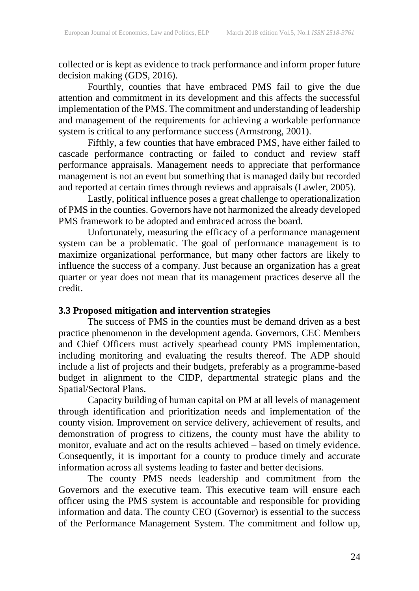collected or is kept as evidence to track performance and inform proper future decision making (GDS, 2016).

Fourthly, counties that have embraced PMS fail to give the due attention and commitment in its development and this affects the successful implementation of the PMS. The commitment and understanding of leadership and management of the requirements for achieving a workable performance system is critical to any performance success (Armstrong, 2001).

Fifthly, a few counties that have embraced PMS, have either failed to cascade performance contracting or failed to conduct and review staff performance appraisals. Management needs to appreciate that performance management is not an event but something that is managed daily but recorded and reported at certain times through reviews and appraisals (Lawler, 2005).

Lastly, political influence poses a great challenge to operationalization of PMS in the counties. Governors have not harmonized the already developed PMS framework to be adopted and embraced across the board.

Unfortunately, measuring the efficacy of a performance management system can be a problematic. The goal of performance management is to maximize organizational performance, but many other factors are likely to influence the success of a company. Just because an organization has a great quarter or year does not mean that its management practices deserve all the credit.

# **3.3 Proposed mitigation and intervention strategies**

The success of PMS in the counties must be demand driven as a best practice phenomenon in the development agenda. Governors, CEC Members and Chief Officers must actively spearhead county PMS implementation, including monitoring and evaluating the results thereof. The ADP should include a list of projects and their budgets, preferably as a programme-based budget in alignment to the CIDP, departmental strategic plans and the Spatial/Sectoral Plans.

Capacity building of human capital on PM at all levels of management through identification and prioritization needs and implementation of the county vision. Improvement on service delivery, achievement of results, and demonstration of progress to citizens, the county must have the ability to monitor, evaluate and act on the results achieved – based on timely evidence. Consequently, it is important for a county to produce timely and accurate information across all systems leading to faster and better decisions.

The county PMS needs leadership and commitment from the Governors and the executive team. This executive team will ensure each officer using the PMS system is accountable and responsible for providing information and data. The county CEO (Governor) is essential to the success of the Performance Management System. The commitment and follow up,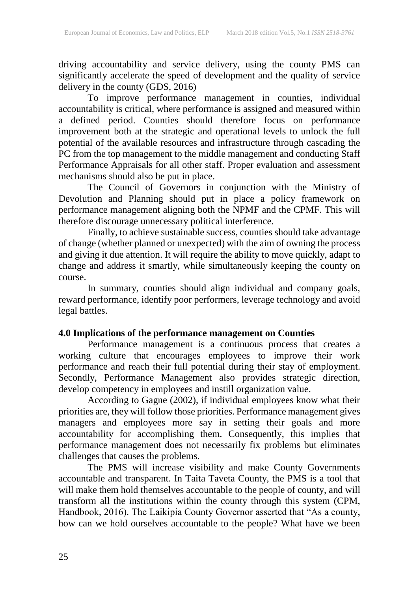driving accountability and service delivery, using the county PMS can significantly accelerate the speed of development and the quality of service delivery in the county (GDS, 2016)

To improve performance management in counties, individual accountability is critical, where performance is assigned and measured within a defined period. Counties should therefore focus on performance improvement both at the strategic and operational levels to unlock the full potential of the available resources and infrastructure through cascading the PC from the top management to the middle management and conducting Staff Performance Appraisals for all other staff. Proper evaluation and assessment mechanisms should also be put in place.

The Council of Governors in conjunction with the Ministry of Devolution and Planning should put in place a policy framework on performance management aligning both the NPMF and the CPMF. This will therefore discourage unnecessary political interference.

Finally, to achieve sustainable success, counties should take advantage of change (whether planned or unexpected) with the aim of owning the process and giving it due attention. It will require the ability to move quickly, adapt to change and address it smartly, while simultaneously keeping the county on course.

In summary, counties should align individual and company goals, reward performance, identify poor performers, leverage technology and avoid legal battles.

# **4.0 Implications of the performance management on Counties**

Performance management is a continuous process that creates a working culture that encourages employees to improve their work performance and reach their full potential during their stay of employment. Secondly, Performance Management also provides strategic direction, develop competency in employees and instill organization value.

According to Gagne (2002), if individual employees know what their priorities are, they will follow those priorities. Performance management gives managers and employees more say in setting their goals and more accountability for accomplishing them. Consequently, this implies that performance management does not necessarily fix problems but eliminates challenges that causes the problems.

The PMS will increase visibility and make County Governments accountable and transparent. In Taita Taveta County, the PMS is a tool that will make them hold themselves accountable to the people of county, and will transform all the institutions within the county through this system (CPM, Handbook, 2016). The Laikipia County Governor asserted that "As a county, how can we hold ourselves accountable to the people? What have we been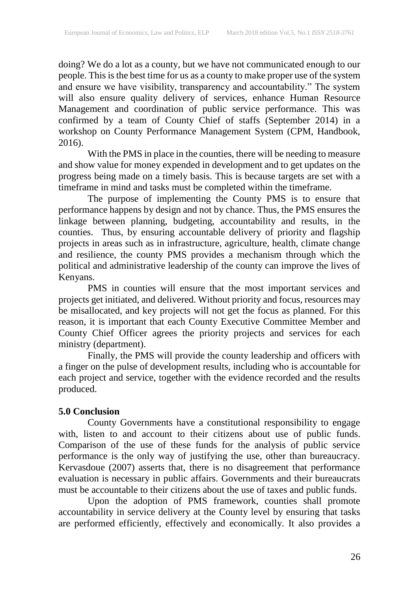doing? We do a lot as a county, but we have not communicated enough to our people. This is the best time for us as a county to make proper use of the system and ensure we have visibility, transparency and accountability." The system will also ensure quality delivery of services, enhance Human Resource Management and coordination of public service performance. This was confirmed by a team of County Chief of staffs (September 2014) in a workshop on County Performance Management System (CPM, Handbook, 2016).

With the PMS in place in the counties, there will be needing to measure and show value for money expended in development and to get updates on the progress being made on a timely basis. This is because targets are set with a timeframe in mind and tasks must be completed within the timeframe.

The purpose of implementing the County PMS is to ensure that performance happens by design and not by chance. Thus, the PMS ensures the linkage between planning, budgeting, accountability and results, in the counties. Thus, by ensuring accountable delivery of priority and flagship projects in areas such as in infrastructure, agriculture, health, climate change and resilience, the county PMS provides a mechanism through which the political and administrative leadership of the county can improve the lives of Kenyans.

PMS in counties will ensure that the most important services and projects get initiated, and delivered. Without priority and focus, resources may be misallocated, and key projects will not get the focus as planned. For this reason, it is important that each County Executive Committee Member and County Chief Officer agrees the priority projects and services for each ministry (department).

Finally, the PMS will provide the county leadership and officers with a finger on the pulse of development results, including who is accountable for each project and service, together with the evidence recorded and the results produced.

# **5.0 Conclusion**

County Governments have a constitutional responsibility to engage with, listen to and account to their citizens about use of public funds. Comparison of the use of these funds for the analysis of public service performance is the only way of justifying the use, other than bureaucracy. Kervasdoue (2007) asserts that, there is no disagreement that performance evaluation is necessary in public affairs. Governments and their bureaucrats must be accountable to their citizens about the use of taxes and public funds.

Upon the adoption of PMS framework, counties shall promote accountability in service delivery at the County level by ensuring that tasks are performed efficiently, effectively and economically. It also provides a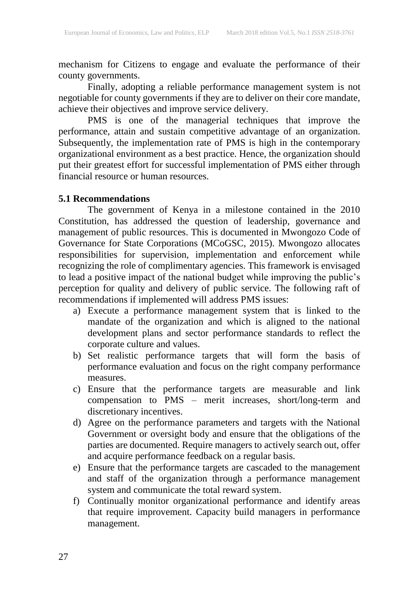mechanism for Citizens to engage and evaluate the performance of their county governments.

Finally, adopting a reliable performance management system is not negotiable for county governments if they are to deliver on their core mandate, achieve their objectives and improve service delivery.

PMS is one of the managerial techniques that improve the performance, attain and sustain competitive advantage of an organization. Subsequently, the implementation rate of PMS is high in the contemporary organizational environment as a best practice. Hence, the organization should put their greatest effort for successful implementation of PMS either through financial resource or human resources.

#### **5.1 Recommendations**

The government of Kenya in a milestone contained in the 2010 Constitution, has addressed the question of leadership, governance and management of public resources. This is documented in Mwongozo Code of Governance for State Corporations (MCoGSC, 2015). Mwongozo allocates responsibilities for supervision, implementation and enforcement while recognizing the role of complimentary agencies. This framework is envisaged to lead a positive impact of the national budget while improving the public's perception for quality and delivery of public service. The following raft of recommendations if implemented will address PMS issues:

- a) Execute a performance management system that is linked to the mandate of the organization and which is aligned to the national development plans and sector performance standards to reflect the corporate culture and values.
- b) Set realistic performance targets that will form the basis of performance evaluation and focus on the right company performance measures.
- c) Ensure that the performance targets are measurable and link compensation to PMS – merit increases, short/long-term and discretionary incentives.
- d) Agree on the performance parameters and targets with the National Government or oversight body and ensure that the obligations of the parties are documented. Require managers to actively search out, offer and acquire performance feedback on a regular basis.
- e) Ensure that the performance targets are cascaded to the management and staff of the organization through a performance management system and communicate the total reward system.
- f) Continually monitor organizational performance and identify areas that require improvement. Capacity build managers in performance management.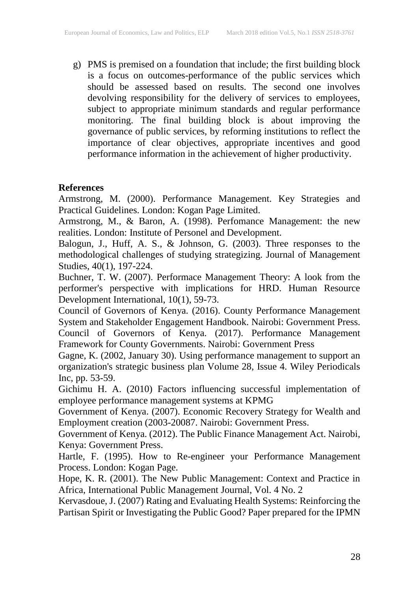g) PMS is premised on a foundation that include; the first building block is a focus on outcomes-performance of the public services which should be assessed based on results. The second one involves devolving responsibility for the delivery of services to employees, subject to appropriate minimum standards and regular performance monitoring. The final building block is about improving the governance of public services, by reforming institutions to reflect the importance of clear objectives, appropriate incentives and good performance information in the achievement of higher productivity.

# **References**

Armstrong, M. (2000). Performance Management. Key Strategies and Practical Guidelines. London: Kogan Page Limited.

Armstrong, M., & Baron, A. (1998). Perfomance Management: the new realities. London: Institute of Personel and Development.

Balogun, J., Huff, A. S., & Johnson, G. (2003). Three responses to the methodological challenges of studying strategizing. Journal of Management Studies, 40(1), 197-224.

Buchner, T. W. (2007). Performace Management Theory: A look from the performer's perspective with implications for HRD. Human Resource Development International, 10(1), 59-73.

Council of Governors of Kenya. (2016). County Performance Management System and Stakeholder Engagement Handbook. Nairobi: Government Press. Council of Governors of Kenya. (2017). Performance Management Framework for County Governments. Nairobi: Government Press

Gagne, K. (2002, January 30). Using performance management to support an organization's strategic business plan Volume 28, Issue 4. Wiley Periodicals Inc, pp. 53-59.

Gichimu H. A. (2010) Factors influencing successful implementation of employee performance management systems at KPMG

Government of Kenya. (2007). Economic Recovery Strategy for Wealth and Employment creation (2003-20087. Nairobi: Government Press.

Government of Kenya. (2012). The Public Finance Management Act. Nairobi, Kenya: Government Press.

Hartle, F. (1995). How to Re-engineer your Performance Management Process. London: Kogan Page.

Hope, K. R. (2001). The New Public Management: Context and Practice in Africa, International Public Management Journal, Vol. 4 No. 2

Kervasdoue, J. (2007) Rating and Evaluating Health Systems: Reinforcing the Partisan Spirit or Investigating the Public Good? Paper prepared for the IPMN